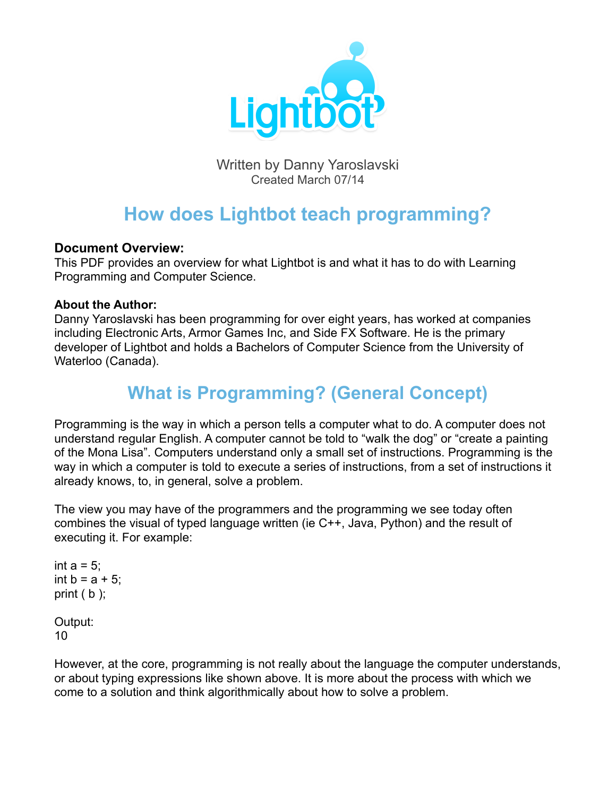

Written by Danny Yaroslavski Created March 07/14

# **How does Lightbot teach programming?**

### **Document Overview:**

This PDF provides an overview for what Lightbot is and what it has to do with Learning Programming and Computer Science.

#### **About the Author:**

Danny Yaroslavski has been programming for over eight years, has worked at companies including Electronic Arts, Armor Games Inc, and Side FX Software. He is the primary developer of Lightbot and holds a Bachelors of Computer Science from the University of Waterloo (Canada).

## **What is Programming? (General Concept)**

Programming is the way in which a person tells a computer what to do. A computer does not understand regular English. A computer cannot be told to "walk the dog" or "create a painting of the Mona Lisa". Computers understand only a small set of instructions. Programming is the way in which a computer is told to execute a series of instructions, from a set of instructions it already knows, to, in general, solve a problem.

The view you may have of the programmers and the programming we see today often combines the visual of typed language written (ie C++, Java, Python) and the result of executing it. For example:

int  $a = 5$ ; int  $b = a + 5$ ; print  $(b)$ ;

Output: 10

However, at the core, programming is not really about the language the computer understands, or about typing expressions like shown above. It is more about the process with which we come to a solution and think algorithmically about how to solve a problem.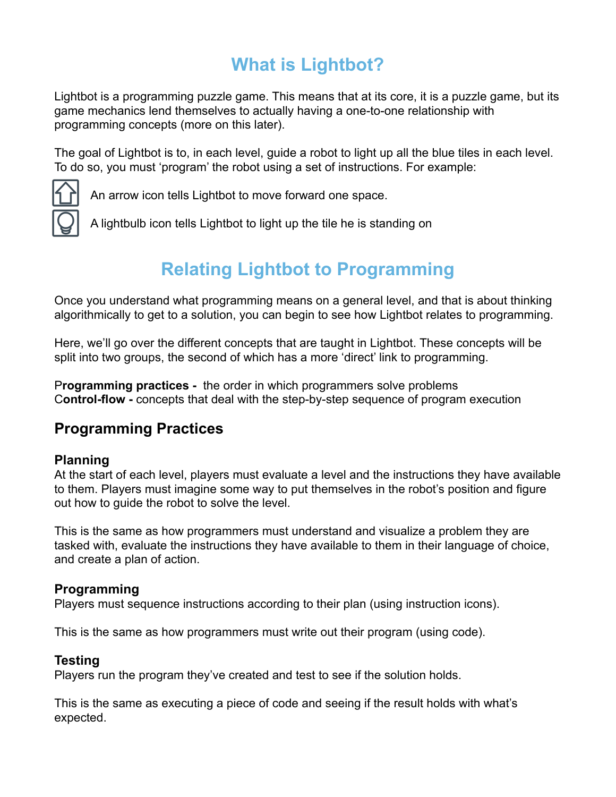## **What is Lightbot?**

Lightbot is a programming puzzle game. This means that at its core, it is a puzzle game, but its game mechanics lend themselves to actually having a one-to-one relationship with programming concepts (more on this later).

The goal of Lightbot is to, in each level, guide a robot to light up all the blue tiles in each level. To do so, you must 'program' the robot using a set of instructions. For example:



An arrow icon tells Lightbot to move forward one space.

A lightbulb icon tells Lightbot to light up the tile he is standing on

# **Relating Lightbot to Programming**

Once you understand what programming means on a general level, and that is about thinking algorithmically to get to a solution, you can begin to see how Lightbot relates to programming.

Here, we'll go over the different concepts that are taught in Lightbot. These concepts will be split into two groups, the second of which has a more 'direct' link to programming.

P**rogramming practices -** the order in which programmers solve problems C**ontrol-flow -** concepts that deal with the step-by-step sequence of program execution

## **Programming Practices**

### **Planning**

At the start of each level, players must evaluate a level and the instructions they have available to them. Players must imagine some way to put themselves in the robot's position and figure out how to guide the robot to solve the level.

This is the same as how programmers must understand and visualize a problem they are tasked with, evaluate the instructions they have available to them in their language of choice, and create a plan of action.

#### **Programming**

Players must sequence instructions according to their plan (using instruction icons).

This is the same as how programmers must write out their program (using code).

### **Testing**

Players run the program they've created and test to see if the solution holds.

This is the same as executing a piece of code and seeing if the result holds with what's expected.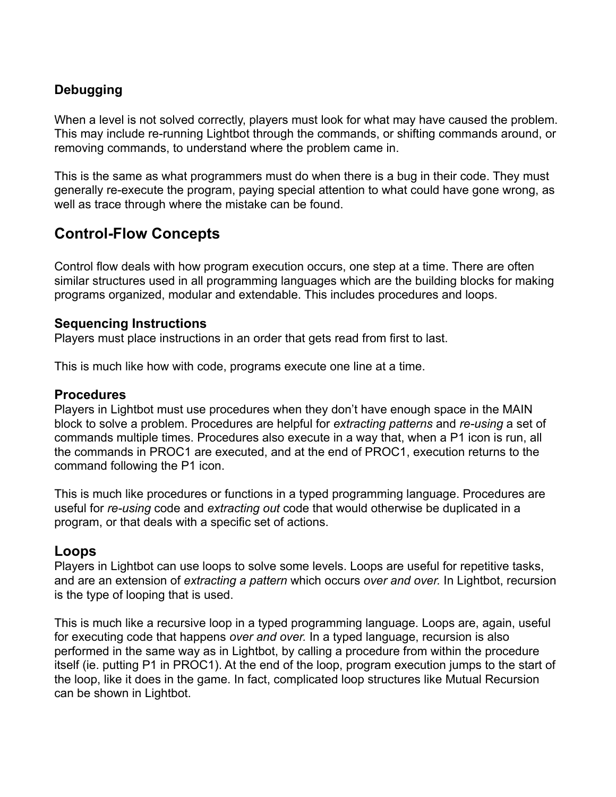### **Debugging**

When a level is not solved correctly, players must look for what may have caused the problem. This may include re-running Lightbot through the commands, or shifting commands around, or removing commands, to understand where the problem came in.

This is the same as what programmers must do when there is a bug in their code. They must generally re-execute the program, paying special attention to what could have gone wrong, as well as trace through where the mistake can be found.

## **Control-Flow Concepts**

Control flow deals with how program execution occurs, one step at a time. There are often similar structures used in all programming languages which are the building blocks for making programs organized, modular and extendable. This includes procedures and loops.

#### **Sequencing Instructions**

Players must place instructions in an order that gets read from first to last.

This is much like how with code, programs execute one line at a time.

#### **Procedures**

Players in Lightbot must use procedures when they don't have enough space in the MAIN block to solve a problem. Procedures are helpful for *extracting patterns* and *re-using* a set of commands multiple times. Procedures also execute in a way that, when a P1 icon is run, all the commands in PROC1 are executed, and at the end of PROC1, execution returns to the command following the P1 icon.

This is much like procedures or functions in a typed programming language. Procedures are useful for *re-using* code and *extracting out* code that would otherwise be duplicated in a program, or that deals with a specific set of actions.

#### **Loops**

Players in Lightbot can use loops to solve some levels. Loops are useful for repetitive tasks, and are an extension of *extracting a pattern* which occurs *over and over.* In Lightbot, recursion is the type of looping that is used.

This is much like a recursive loop in a typed programming language. Loops are, again, useful for executing code that happens *over and over.* In a typed language, recursion is also performed in the same way as in Lightbot, by calling a procedure from within the procedure itself (ie. putting P1 in PROC1). At the end of the loop, program execution jumps to the start of the loop, like it does in the game. In fact, complicated loop structures like Mutual Recursion can be shown in Lightbot.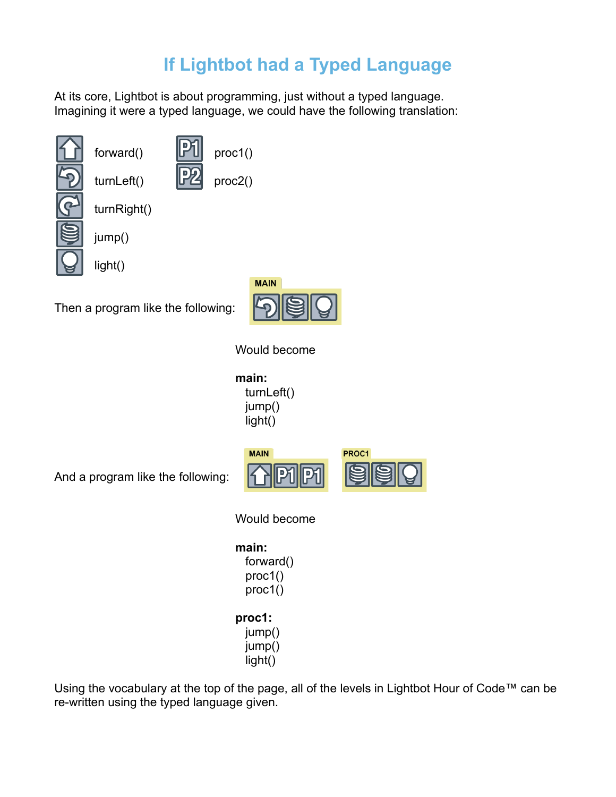## **If Lightbot had a Typed Language**

At its core, Lightbot is about programming, just without a typed language. Imagining it were a typed language, we could have the following translation:



Then a program like the following:



Would become

 **main:** turnLeft() jump() light()

And a program like the following:



Would become

### **main:** forward() proc1() proc1()

### **proc1:**

jump() jump() light()

Using the vocabulary at the top of the page, all of the levels in Lightbot Hour of Code™ can be re-written using the typed language given.